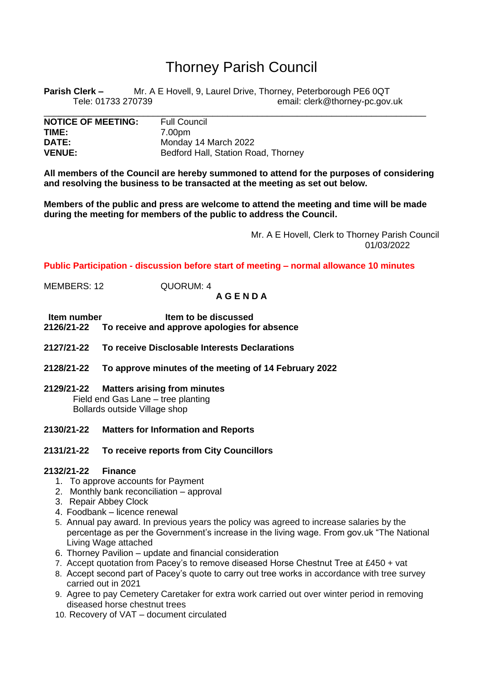# Thorney Parish Council

**Parish Clerk –** Mr. A E Hovell, 9, Laurel Drive, Thorney, Peterborough PE6 0QT Tele: 01733 270739 email: clerk@thorney-pc.gov.uk

\_\_\_\_\_\_\_\_\_\_\_\_\_\_\_\_\_\_\_\_\_\_\_\_\_\_\_\_\_\_\_\_\_\_\_\_\_\_\_\_\_\_\_\_\_\_\_\_\_\_\_\_\_\_\_\_\_\_\_\_\_\_\_\_\_\_\_\_\_\_\_\_\_\_\_\_\_

| <b>NOTICE OF MEETING:</b> | <b>Full Council</b>                 |
|---------------------------|-------------------------------------|
| TIME:                     | 7.00pm                              |
| <b>DATE:</b>              | Monday 14 March 2022                |
| <b>VENUE:</b>             | Bedford Hall, Station Road, Thorney |

**All members of the Council are hereby summoned to attend for the purposes of considering and resolving the business to be transacted at the meeting as set out below.**

**Members of the public and press are welcome to attend the meeting and time will be made during the meeting for members of the public to address the Council.**

> Mr. A E Hovell, Clerk to Thorney Parish Council 01/03/2022

**Public Participation - discussion before start of meeting – normal allowance 10 minutes**

MEMBERS: 12 QUORUM: 4

**A G E N D A**

- **Item number<br>2126/21-22** To receive and approve apologies fo **2126/21-22 To receive and approve apologies for absence**
- **2127/21-22 To receive Disclosable Interests Declarations**
- **2128/21-22 To approve minutes of the meeting of 14 February 2022**
- **2129/21-22 Matters arising from minutes** Field end Gas Lane – tree planting Bollards outside Village shop
- **2130/21-22 Matters for Information and Reports**
- **2131/21-22 To receive reports from City Councillors**

## **2132/21-22 Finance**

- 1. To approve accounts for Payment
- 2. Monthly bank reconciliation approval
- 3. Repair Abbey Clock
- 4. Foodbank licence renewal
- 5. Annual pay award. In previous years the policy was agreed to increase salaries by the percentage as per the Government's increase in the living wage. From gov.uk "The National Living Wage attached
- 6. Thorney Pavilion update and financial consideration
- 7. Accept quotation from Pacey's to remove diseased Horse Chestnut Tree at £450 + vat
- 8. Accept second part of Pacey's quote to carry out tree works in accordance with tree survey carried out in 2021
- 9. Agree to pay Cemetery Caretaker for extra work carried out over winter period in removing diseased horse chestnut trees
- 10. Recovery of VAT document circulated